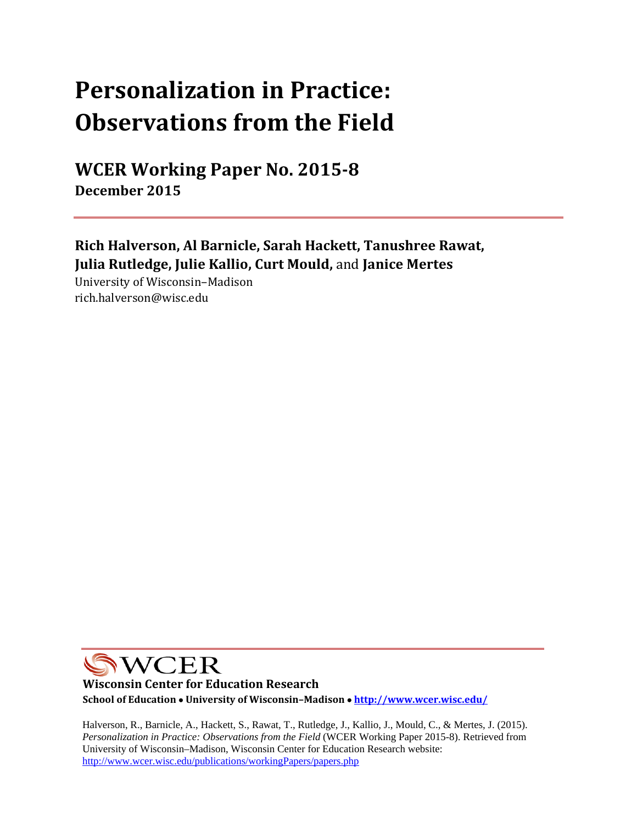# **Personalization in Practice: Observations from the Field**

**WCER Working Paper No. 2015‐8 December 2015**

**Rich Halverson, Al Barnicle, Sarah Hackett, Tanushree Rawat, Julia Rutledge, Julie Kallio, Curt Mould,** and **Janice Mertes**

University of Wisconsin–Madison rich.halverson@wisc.edu 

**NVCER** 

**Wisconsin Center for Education Research School of Education University of Wisconsin–Madison http://www.wcer.wisc.edu/**

Halverson, R., Barnicle, A., Hackett, S., Rawat, T., Rutledge, J., Kallio, J., Mould, C., & Mertes, J. (2015). *Personalization in Practice: Observations from the Field* (WCER Working Paper 2015-8). Retrieved from University of Wisconsin–Madison, Wisconsin Center for Education Research website: http://www.wcer.wisc.edu/publications/workingPapers/papers.php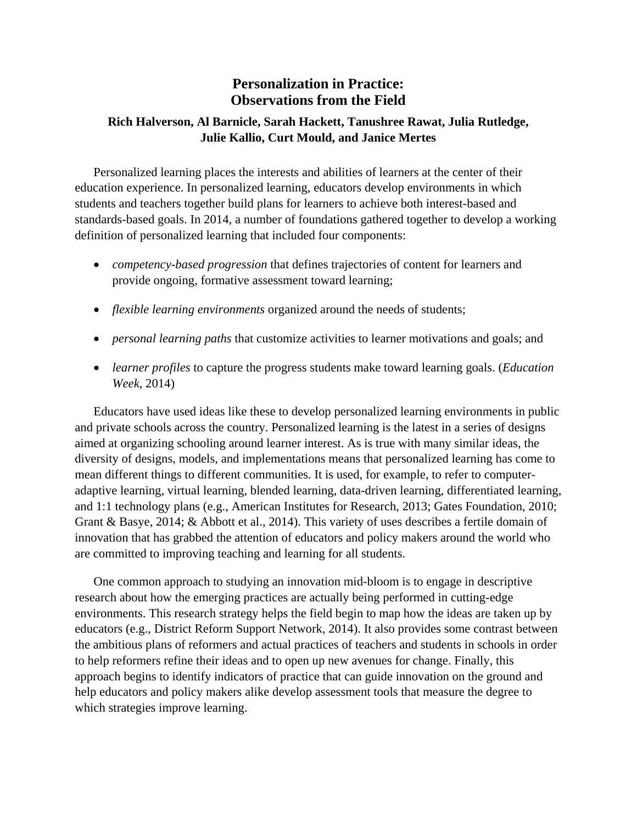# **Personalization in Practice: Observations from the Field**

# **Rich Halverson, Al Barnicle, Sarah Hackett, Tanushree Rawat, Julia Rutledge, Julie Kallio, Curt Mould, and Janice Mertes**

Personalized learning places the interests and abilities of learners at the center of their education experience. In personalized learning, educators develop environments in which students and teachers together build plans for learners to achieve both interest-based and standards-based goals. In 2014, a number of foundations gathered together to develop a working definition of personalized learning that included four components:

- *competency-based progression* that defines trajectories of content for learners and provide ongoing, formative assessment toward learning;
- *flexible learning environments* organized around the needs of students;
- *personal learning paths* that customize activities to learner motivations and goals; and
- *learner profiles* to capture the progress students make toward learning goals. (*Education Week*, 2014)

Educators have used ideas like these to develop personalized learning environments in public and private schools across the country. Personalized learning is the latest in a series of designs aimed at organizing schooling around learner interest. As is true with many similar ideas, the diversity of designs, models, and implementations means that personalized learning has come to mean different things to different communities. It is used, for example, to refer to computeradaptive learning, virtual learning, blended learning, data-driven learning, differentiated learning, and 1:1 technology plans (e.g., American Institutes for Research, 2013; Gates Foundation, 2010; Grant & Basye, 2014; & Abbott et al., 2014). This variety of uses describes a fertile domain of innovation that has grabbed the attention of educators and policy makers around the world who are committed to improving teaching and learning for all students.

One common approach to studying an innovation mid-bloom is to engage in descriptive research about how the emerging practices are actually being performed in cutting-edge environments. This research strategy helps the field begin to map how the ideas are taken up by educators (e.g., District Reform Support Network, 2014). It also provides some contrast between the ambitious plans of reformers and actual practices of teachers and students in schools in order to help reformers refine their ideas and to open up new avenues for change. Finally, this approach begins to identify indicators of practice that can guide innovation on the ground and help educators and policy makers alike develop assessment tools that measure the degree to which strategies improve learning.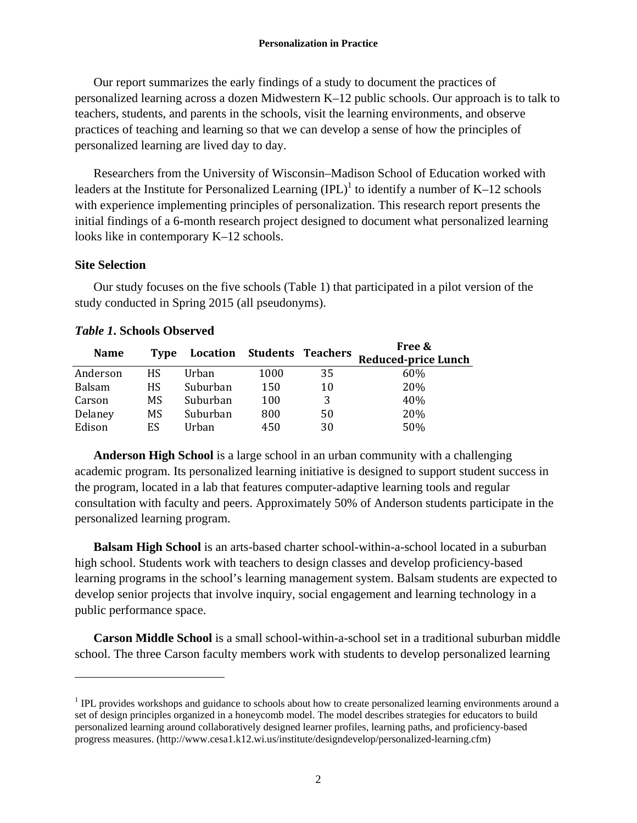Our report summarizes the early findings of a study to document the practices of personalized learning across a dozen Midwestern K–12 public schools. Our approach is to talk to teachers, students, and parents in the schools, visit the learning environments, and observe practices of teaching and learning so that we can develop a sense of how the principles of personalized learning are lived day to day.

Researchers from the University of Wisconsin–Madison School of Education worked with leaders at the Institute for Personalized Learning  $(IPL)^{1}$  to identify a number of K–12 schools with experience implementing principles of personalization. This research report presents the initial findings of a 6-month research project designed to document what personalized learning looks like in contemporary K–12 schools.

## **Site Selection**

 $\overline{a}$ 

Our study focuses on the five schools (Table 1) that participated in a pilot version of the study conducted in Spring 2015 (all pseudonyms).

| <b>Name</b>   | Type |          | Location Students Teachers |    | Free &<br><b>Reduced-price Lunch</b> |
|---------------|------|----------|----------------------------|----|--------------------------------------|
| Anderson      | HS.  | Urban    | 1000                       | 35 | 60%                                  |
| <b>Balsam</b> | HS.  | Suburban | 150                        | 10 | 20%                                  |
| Carson        | MS   | Suburban | 100                        | 3  | 40%                                  |
| Delaney       | MS   | Suburban | 800                        | 50 | 20%                                  |
| Edison        | ES   | Urban    | 450                        | 30 | 50%                                  |

# *Table 1***. Schools Observed**

**Anderson High School** is a large school in an urban community with a challenging academic program. Its personalized learning initiative is designed to support student success in the program, located in a lab that features computer-adaptive learning tools and regular consultation with faculty and peers. Approximately 50% of Anderson students participate in the personalized learning program.

**Balsam High School** is an arts-based charter school-within-a-school located in a suburban high school. Students work with teachers to design classes and develop proficiency-based learning programs in the school's learning management system. Balsam students are expected to develop senior projects that involve inquiry, social engagement and learning technology in a public performance space.

**Carson Middle School** is a small school-within-a-school set in a traditional suburban middle school. The three Carson faculty members work with students to develop personalized learning

 $1$  IPL provides workshops and guidance to schools about how to create personalized learning environments around a set of design principles organized in a honeycomb model. The model describes strategies for educators to build personalized learning around collaboratively designed learner profiles, learning paths, and proficiency-based progress measures. (http://www.cesa1.k12.wi.us/institute/designdevelop/personalized-learning.cfm)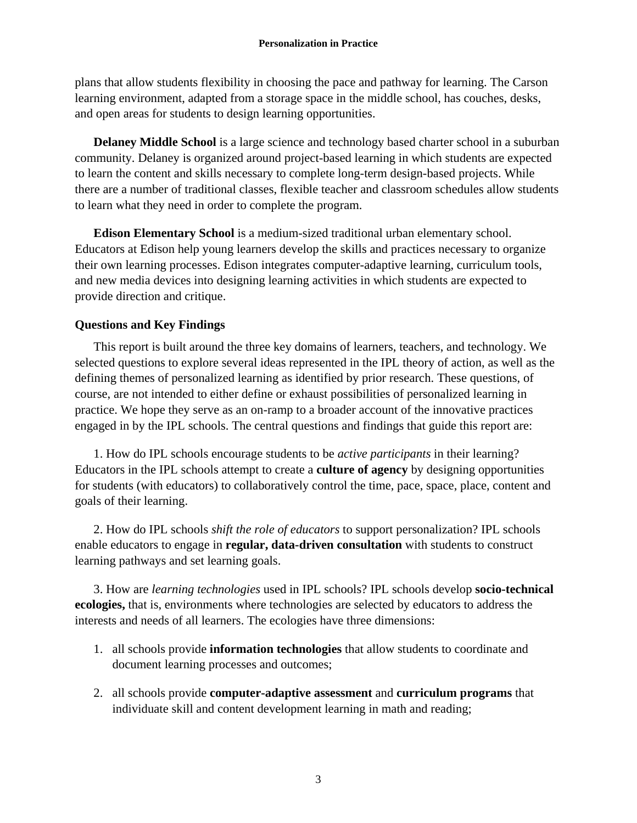plans that allow students flexibility in choosing the pace and pathway for learning. The Carson learning environment, adapted from a storage space in the middle school, has couches, desks, and open areas for students to design learning opportunities.

**Delaney Middle School** is a large science and technology based charter school in a suburban community. Delaney is organized around project-based learning in which students are expected to learn the content and skills necessary to complete long-term design-based projects. While there are a number of traditional classes, flexible teacher and classroom schedules allow students to learn what they need in order to complete the program.

**Edison Elementary School** is a medium-sized traditional urban elementary school. Educators at Edison help young learners develop the skills and practices necessary to organize their own learning processes. Edison integrates computer-adaptive learning, curriculum tools, and new media devices into designing learning activities in which students are expected to provide direction and critique.

# **Questions and Key Findings**

This report is built around the three key domains of learners, teachers, and technology. We selected questions to explore several ideas represented in the IPL theory of action, as well as the defining themes of personalized learning as identified by prior research. These questions, of course, are not intended to either define or exhaust possibilities of personalized learning in practice. We hope they serve as an on-ramp to a broader account of the innovative practices engaged in by the IPL schools. The central questions and findings that guide this report are:

1. How do IPL schools encourage students to be *active participants* in their learning? Educators in the IPL schools attempt to create a **culture of agency** by designing opportunities for students (with educators) to collaboratively control the time, pace, space, place, content and goals of their learning.

2. How do IPL schools *shift the role of educators* to support personalization? IPL schools enable educators to engage in **regular, data-driven consultation** with students to construct learning pathways and set learning goals.

3. How are *learning technologies* used in IPL schools? IPL schools develop **socio-technical ecologies,** that is, environments where technologies are selected by educators to address the interests and needs of all learners. The ecologies have three dimensions:

- 1. all schools provide **information technologies** that allow students to coordinate and document learning processes and outcomes;
- 2. all schools provide **computer-adaptive assessment** and **curriculum programs** that individuate skill and content development learning in math and reading;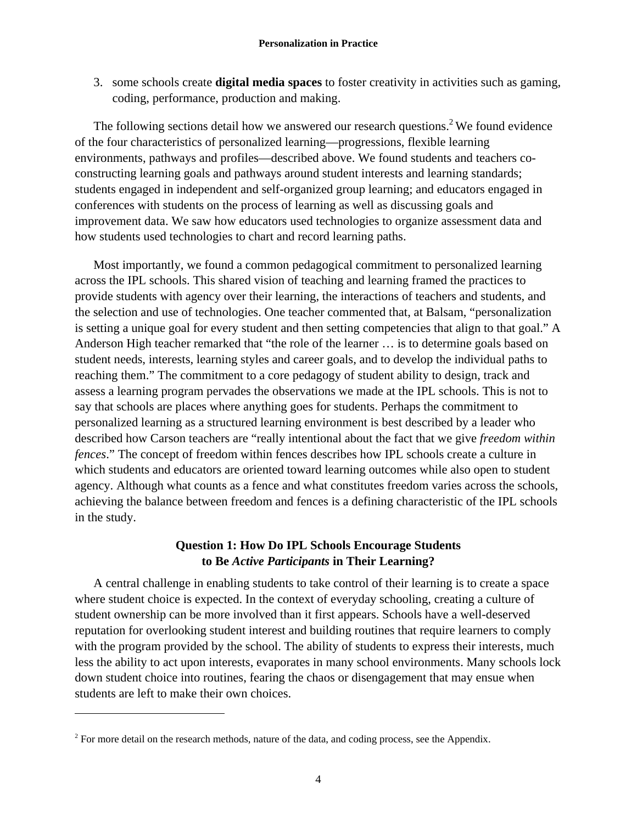3. some schools create **digital media spaces** to foster creativity in activities such as gaming, coding, performance, production and making.

The following sections detail how we answered our research questions.<sup>2</sup> We found evidence of the four characteristics of personalized learning—progressions, flexible learning environments, pathways and profiles—described above. We found students and teachers coconstructing learning goals and pathways around student interests and learning standards; students engaged in independent and self-organized group learning; and educators engaged in conferences with students on the process of learning as well as discussing goals and improvement data. We saw how educators used technologies to organize assessment data and how students used technologies to chart and record learning paths.

Most importantly, we found a common pedagogical commitment to personalized learning across the IPL schools. This shared vision of teaching and learning framed the practices to provide students with agency over their learning, the interactions of teachers and students, and the selection and use of technologies. One teacher commented that, at Balsam, "personalization is setting a unique goal for every student and then setting competencies that align to that goal." A Anderson High teacher remarked that "the role of the learner … is to determine goals based on student needs, interests, learning styles and career goals, and to develop the individual paths to reaching them." The commitment to a core pedagogy of student ability to design, track and assess a learning program pervades the observations we made at the IPL schools. This is not to say that schools are places where anything goes for students. Perhaps the commitment to personalized learning as a structured learning environment is best described by a leader who described how Carson teachers are "really intentional about the fact that we give *freedom within fences*." The concept of freedom within fences describes how IPL schools create a culture in which students and educators are oriented toward learning outcomes while also open to student agency. Although what counts as a fence and what constitutes freedom varies across the schools, achieving the balance between freedom and fences is a defining characteristic of the IPL schools in the study.

# **Question 1: How Do IPL Schools Encourage Students to Be** *Active Participants* **in Their Learning?**

A central challenge in enabling students to take control of their learning is to create a space where student choice is expected. In the context of everyday schooling, creating a culture of student ownership can be more involved than it first appears. Schools have a well-deserved reputation for overlooking student interest and building routines that require learners to comply with the program provided by the school. The ability of students to express their interests, much less the ability to act upon interests, evaporates in many school environments. Many schools lock down student choice into routines, fearing the chaos or disengagement that may ensue when students are left to make their own choices.

 $\overline{a}$ 

<sup>&</sup>lt;sup>2</sup> For more detail on the research methods, nature of the data, and coding process, see the Appendix.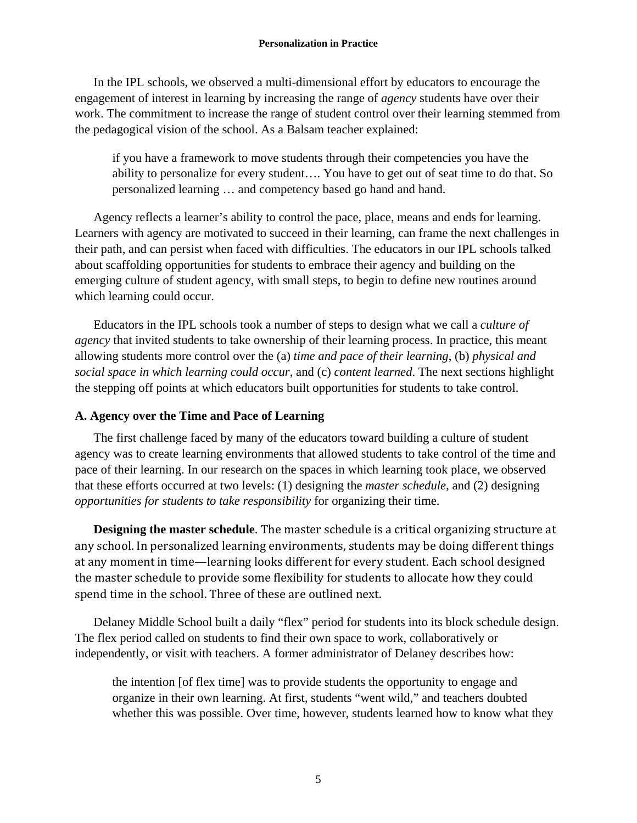In the IPL schools, we observed a multi-dimensional effort by educators to encourage the engagement of interest in learning by increasing the range of *agency* students have over their work. The commitment to increase the range of student control over their learning stemmed from the pedagogical vision of the school. As a Balsam teacher explained:

if you have a framework to move students through their competencies you have the ability to personalize for every student…. You have to get out of seat time to do that. So personalized learning … and competency based go hand and hand.

Agency reflects a learner's ability to control the pace, place, means and ends for learning. Learners with agency are motivated to succeed in their learning, can frame the next challenges in their path, and can persist when faced with difficulties. The educators in our IPL schools talked about scaffolding opportunities for students to embrace their agency and building on the emerging culture of student agency, with small steps, to begin to define new routines around which learning could occur.

Educators in the IPL schools took a number of steps to design what we call a *culture of agency* that invited students to take ownership of their learning process. In practice, this meant allowing students more control over the (a) *time and pace of their learning*, (b) *physical and social space in which learning could occur*, and (c) *content learned*. The next sections highlight the stepping off points at which educators built opportunities for students to take control.

# **A. Agency over the Time and Pace of Learning**

The first challenge faced by many of the educators toward building a culture of student agency was to create learning environments that allowed students to take control of the time and pace of their learning. In our research on the spaces in which learning took place, we observed that these efforts occurred at two levels: (1) designing the *master schedule*, and (2) designing *opportunities for students to take responsibility* for organizing their time.

**Designing the master schedule**. The master schedule is a critical organizing structure at any school. In personalized learning environments, students may be doing different things at any moment in time—learning looks different for every student. Each school designed the master schedule to provide some flexibility for students to allocate how they could spend time in the school. Three of these are outlined next.

Delaney Middle School built a daily "flex" period for students into its block schedule design. The flex period called on students to find their own space to work, collaboratively or independently, or visit with teachers. A former administrator of Delaney describes how:

the intention [of flex time] was to provide students the opportunity to engage and organize in their own learning. At first, students "went wild," and teachers doubted whether this was possible. Over time, however, students learned how to know what they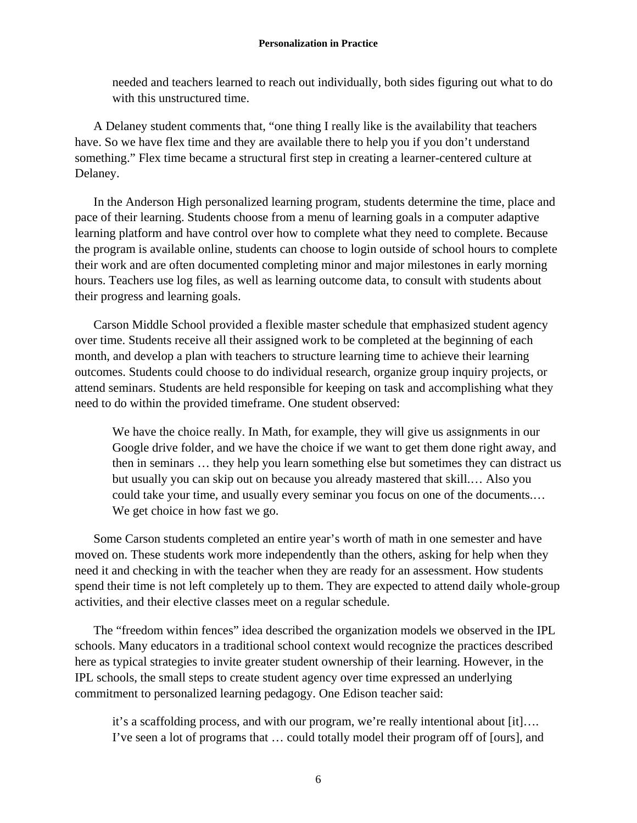needed and teachers learned to reach out individually, both sides figuring out what to do with this unstructured time.

A Delaney student comments that, "one thing I really like is the availability that teachers have. So we have flex time and they are available there to help you if you don't understand something." Flex time became a structural first step in creating a learner-centered culture at Delaney.

In the Anderson High personalized learning program, students determine the time, place and pace of their learning. Students choose from a menu of learning goals in a computer adaptive learning platform and have control over how to complete what they need to complete. Because the program is available online, students can choose to login outside of school hours to complete their work and are often documented completing minor and major milestones in early morning hours. Teachers use log files, as well as learning outcome data, to consult with students about their progress and learning goals.

Carson Middle School provided a flexible master schedule that emphasized student agency over time. Students receive all their assigned work to be completed at the beginning of each month, and develop a plan with teachers to structure learning time to achieve their learning outcomes. Students could choose to do individual research, organize group inquiry projects, or attend seminars. Students are held responsible for keeping on task and accomplishing what they need to do within the provided timeframe. One student observed:

We have the choice really. In Math, for example, they will give us assignments in our Google drive folder, and we have the choice if we want to get them done right away, and then in seminars … they help you learn something else but sometimes they can distract us but usually you can skip out on because you already mastered that skill.… Also you could take your time, and usually every seminar you focus on one of the documents.… We get choice in how fast we go.

Some Carson students completed an entire year's worth of math in one semester and have moved on. These students work more independently than the others, asking for help when they need it and checking in with the teacher when they are ready for an assessment. How students spend their time is not left completely up to them. They are expected to attend daily whole-group activities, and their elective classes meet on a regular schedule.

The "freedom within fences" idea described the organization models we observed in the IPL schools. Many educators in a traditional school context would recognize the practices described here as typical strategies to invite greater student ownership of their learning. However, in the IPL schools, the small steps to create student agency over time expressed an underlying commitment to personalized learning pedagogy. One Edison teacher said:

it's a scaffolding process, and with our program, we're really intentional about [it]…. I've seen a lot of programs that … could totally model their program off of [ours], and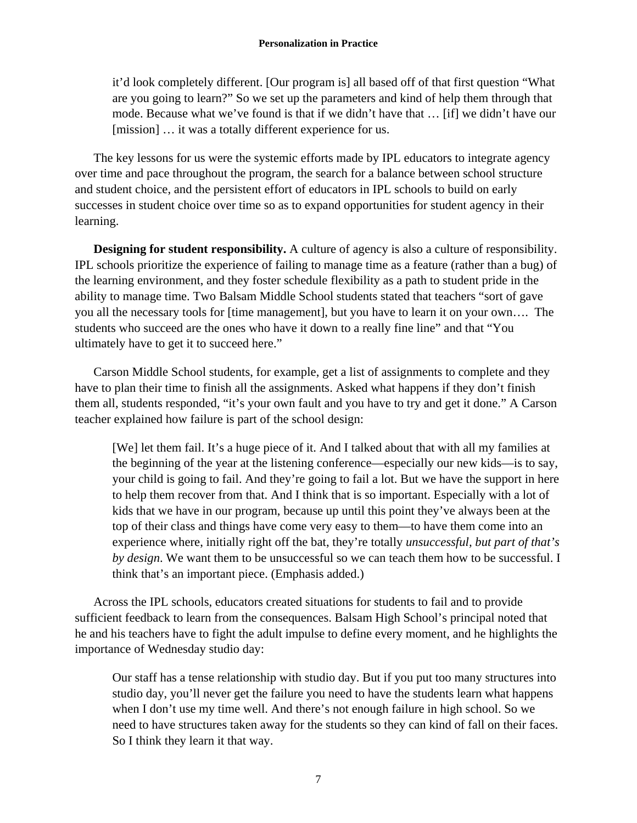it'd look completely different. [Our program is] all based off of that first question "What are you going to learn?" So we set up the parameters and kind of help them through that mode. Because what we've found is that if we didn't have that … [if] we didn't have our [mission] ... it was a totally different experience for us.

The key lessons for us were the systemic efforts made by IPL educators to integrate agency over time and pace throughout the program, the search for a balance between school structure and student choice, and the persistent effort of educators in IPL schools to build on early successes in student choice over time so as to expand opportunities for student agency in their learning.

**Designing for student responsibility.** A culture of agency is also a culture of responsibility. IPL schools prioritize the experience of failing to manage time as a feature (rather than a bug) of the learning environment, and they foster schedule flexibility as a path to student pride in the ability to manage time. Two Balsam Middle School students stated that teachers "sort of gave you all the necessary tools for [time management], but you have to learn it on your own…. The students who succeed are the ones who have it down to a really fine line" and that "You ultimately have to get it to succeed here."

Carson Middle School students, for example, get a list of assignments to complete and they have to plan their time to finish all the assignments. Asked what happens if they don't finish them all, students responded, "it's your own fault and you have to try and get it done." A Carson teacher explained how failure is part of the school design:

[We] let them fail. It's a huge piece of it. And I talked about that with all my families at the beginning of the year at the listening conference—especially our new kids—is to say, your child is going to fail. And they're going to fail a lot. But we have the support in here to help them recover from that. And I think that is so important. Especially with a lot of kids that we have in our program, because up until this point they've always been at the top of their class and things have come very easy to them—to have them come into an experience where, initially right off the bat, they're totally *unsuccessful, but part of that's by design*. We want them to be unsuccessful so we can teach them how to be successful. I think that's an important piece. (Emphasis added.)

Across the IPL schools, educators created situations for students to fail and to provide sufficient feedback to learn from the consequences. Balsam High School's principal noted that he and his teachers have to fight the adult impulse to define every moment, and he highlights the importance of Wednesday studio day:

Our staff has a tense relationship with studio day. But if you put too many structures into studio day, you'll never get the failure you need to have the students learn what happens when I don't use my time well. And there's not enough failure in high school. So we need to have structures taken away for the students so they can kind of fall on their faces. So I think they learn it that way.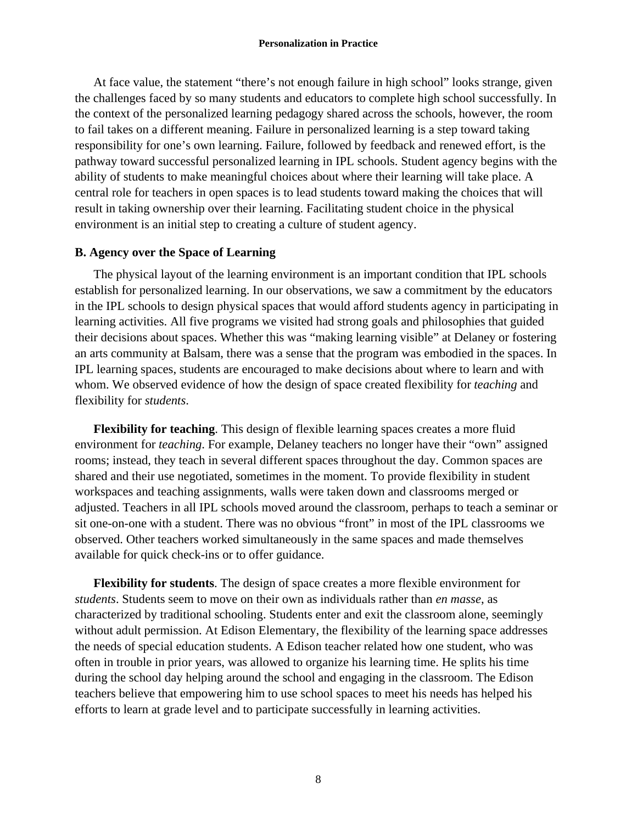At face value, the statement "there's not enough failure in high school" looks strange, given the challenges faced by so many students and educators to complete high school successfully. In the context of the personalized learning pedagogy shared across the schools, however, the room to fail takes on a different meaning. Failure in personalized learning is a step toward taking responsibility for one's own learning. Failure, followed by feedback and renewed effort, is the pathway toward successful personalized learning in IPL schools. Student agency begins with the ability of students to make meaningful choices about where their learning will take place. A central role for teachers in open spaces is to lead students toward making the choices that will result in taking ownership over their learning. Facilitating student choice in the physical environment is an initial step to creating a culture of student agency.

#### **B. Agency over the Space of Learning**

The physical layout of the learning environment is an important condition that IPL schools establish for personalized learning. In our observations, we saw a commitment by the educators in the IPL schools to design physical spaces that would afford students agency in participating in learning activities. All five programs we visited had strong goals and philosophies that guided their decisions about spaces. Whether this was "making learning visible" at Delaney or fostering an arts community at Balsam, there was a sense that the program was embodied in the spaces. In IPL learning spaces, students are encouraged to make decisions about where to learn and with whom. We observed evidence of how the design of space created flexibility for *teaching* and flexibility for *students*.

**Flexibility for teaching**. This design of flexible learning spaces creates a more fluid environment for *teaching*. For example, Delaney teachers no longer have their "own" assigned rooms; instead, they teach in several different spaces throughout the day. Common spaces are shared and their use negotiated, sometimes in the moment. To provide flexibility in student workspaces and teaching assignments, walls were taken down and classrooms merged or adjusted. Teachers in all IPL schools moved around the classroom, perhaps to teach a seminar or sit one-on-one with a student. There was no obvious "front" in most of the IPL classrooms we observed. Other teachers worked simultaneously in the same spaces and made themselves available for quick check-ins or to offer guidance.

**Flexibility for students**. The design of space creates a more flexible environment for *students*. Students seem to move on their own as individuals rather than *en masse*, as characterized by traditional schooling. Students enter and exit the classroom alone, seemingly without adult permission. At Edison Elementary, the flexibility of the learning space addresses the needs of special education students. A Edison teacher related how one student, who was often in trouble in prior years, was allowed to organize his learning time. He splits his time during the school day helping around the school and engaging in the classroom. The Edison teachers believe that empowering him to use school spaces to meet his needs has helped his efforts to learn at grade level and to participate successfully in learning activities.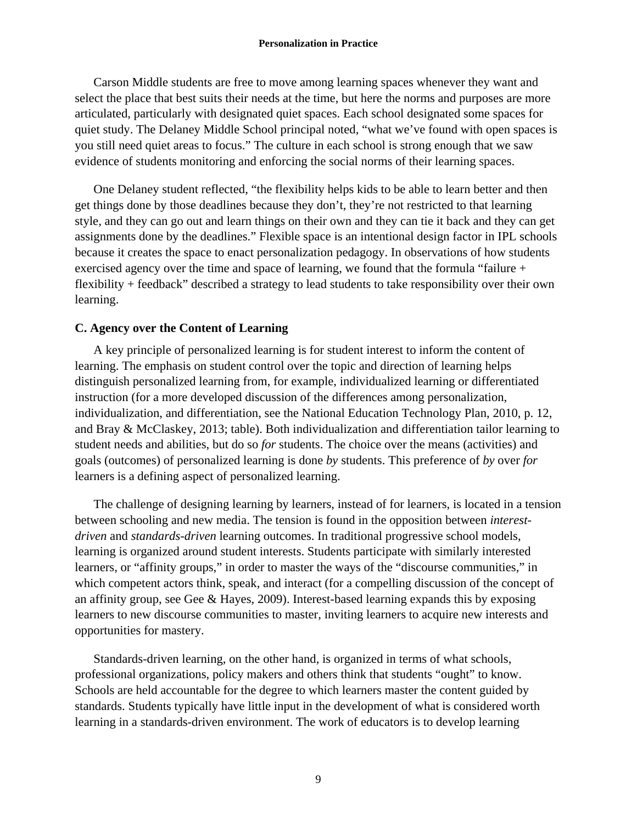Carson Middle students are free to move among learning spaces whenever they want and select the place that best suits their needs at the time, but here the norms and purposes are more articulated, particularly with designated quiet spaces. Each school designated some spaces for quiet study. The Delaney Middle School principal noted, "what we've found with open spaces is you still need quiet areas to focus." The culture in each school is strong enough that we saw evidence of students monitoring and enforcing the social norms of their learning spaces.

One Delaney student reflected, "the flexibility helps kids to be able to learn better and then get things done by those deadlines because they don't, they're not restricted to that learning style, and they can go out and learn things on their own and they can tie it back and they can get assignments done by the deadlines." Flexible space is an intentional design factor in IPL schools because it creates the space to enact personalization pedagogy. In observations of how students exercised agency over the time and space of learning, we found that the formula "failure + flexibility + feedback" described a strategy to lead students to take responsibility over their own learning.

## **C. Agency over the Content of Learning**

A key principle of personalized learning is for student interest to inform the content of learning. The emphasis on student control over the topic and direction of learning helps distinguish personalized learning from, for example, individualized learning or differentiated instruction (for a more developed discussion of the differences among personalization, individualization, and differentiation, see the National Education Technology Plan, 2010, p. 12, and Bray & McClaskey, 2013; table). Both individualization and differentiation tailor learning to student needs and abilities, but do so *for* students. The choice over the means (activities) and goals (outcomes) of personalized learning is done *by* students. This preference of *by* over *for*  learners is a defining aspect of personalized learning.

The challenge of designing learning by learners, instead of for learners, is located in a tension between schooling and new media. The tension is found in the opposition between *interestdriven* and *standards-driven* learning outcomes. In traditional progressive school models, learning is organized around student interests. Students participate with similarly interested learners, or "affinity groups," in order to master the ways of the "discourse communities," in which competent actors think, speak, and interact (for a compelling discussion of the concept of an affinity group, see Gee & Hayes, 2009). Interest-based learning expands this by exposing learners to new discourse communities to master, inviting learners to acquire new interests and opportunities for mastery.

Standards-driven learning, on the other hand, is organized in terms of what schools, professional organizations, policy makers and others think that students "ought" to know. Schools are held accountable for the degree to which learners master the content guided by standards. Students typically have little input in the development of what is considered worth learning in a standards-driven environment. The work of educators is to develop learning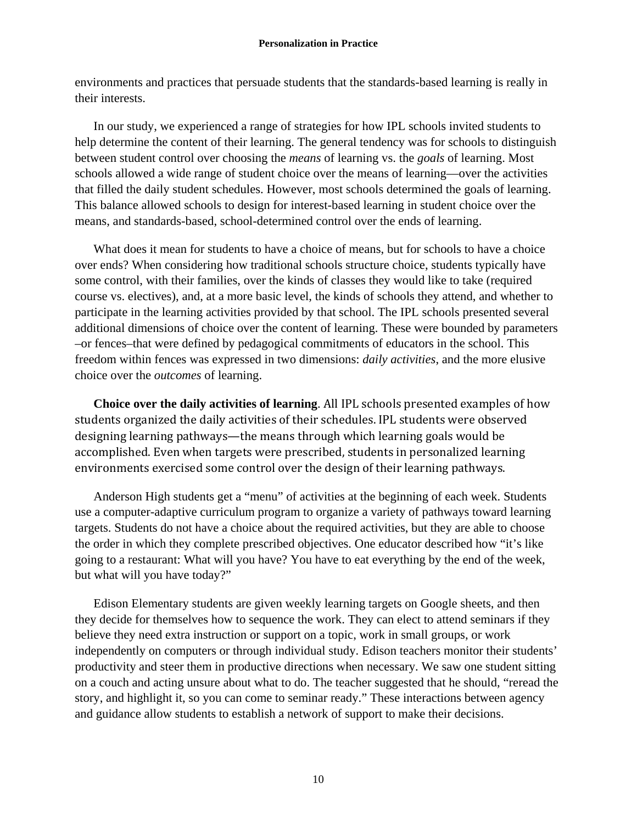environments and practices that persuade students that the standards-based learning is really in their interests.

In our study, we experienced a range of strategies for how IPL schools invited students to help determine the content of their learning. The general tendency was for schools to distinguish between student control over choosing the *means* of learning vs. the *goals* of learning. Most schools allowed a wide range of student choice over the means of learning—over the activities that filled the daily student schedules. However, most schools determined the goals of learning. This balance allowed schools to design for interest-based learning in student choice over the means, and standards-based, school-determined control over the ends of learning.

What does it mean for students to have a choice of means, but for schools to have a choice over ends? When considering how traditional schools structure choice, students typically have some control, with their families, over the kinds of classes they would like to take (required course vs. electives), and, at a more basic level, the kinds of schools they attend, and whether to participate in the learning activities provided by that school. The IPL schools presented several additional dimensions of choice over the content of learning. These were bounded by parameters –or fences–that were defined by pedagogical commitments of educators in the school. This freedom within fences was expressed in two dimensions: *daily activities*, and the more elusive choice over the *outcomes* of learning.

**Choice over the daily activities of learning.** All IPL schools presented examples of how students organized the daily activities of their schedules. IPL students were observed designing learning pathways—the means through which learning goals would be accomplished. Even when targets were prescribed, students in personalized learning environments exercised some control over the design of their learning pathways.

Anderson High students get a "menu" of activities at the beginning of each week. Students use a computer-adaptive curriculum program to organize a variety of pathways toward learning targets. Students do not have a choice about the required activities, but they are able to choose the order in which they complete prescribed objectives. One educator described how "it's like going to a restaurant: What will you have? You have to eat everything by the end of the week, but what will you have today?"

Edison Elementary students are given weekly learning targets on Google sheets, and then they decide for themselves how to sequence the work. They can elect to attend seminars if they believe they need extra instruction or support on a topic, work in small groups, or work independently on computers or through individual study. Edison teachers monitor their students' productivity and steer them in productive directions when necessary. We saw one student sitting on a couch and acting unsure about what to do. The teacher suggested that he should, "reread the story, and highlight it, so you can come to seminar ready." These interactions between agency and guidance allow students to establish a network of support to make their decisions.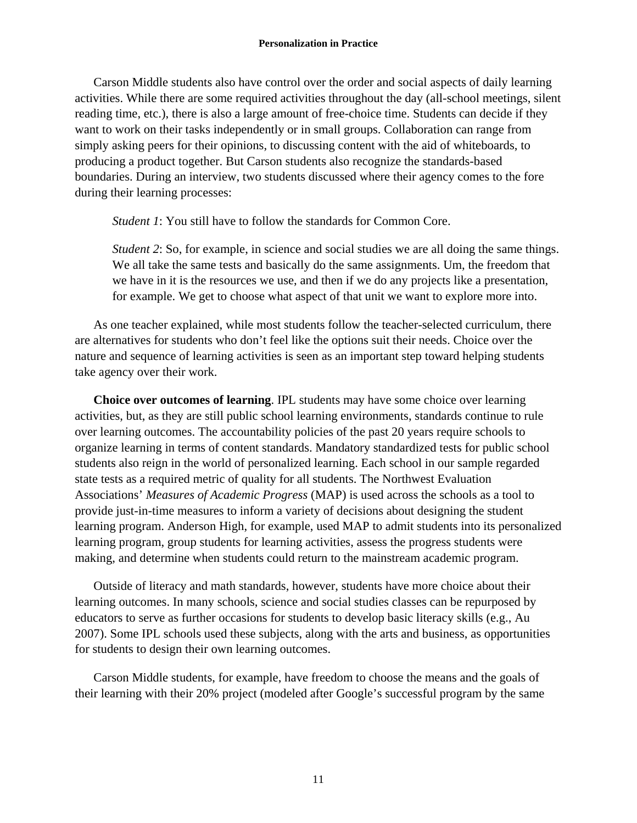Carson Middle students also have control over the order and social aspects of daily learning activities. While there are some required activities throughout the day (all-school meetings, silent reading time, etc.), there is also a large amount of free-choice time. Students can decide if they want to work on their tasks independently or in small groups. Collaboration can range from simply asking peers for their opinions, to discussing content with the aid of whiteboards, to producing a product together. But Carson students also recognize the standards-based boundaries. During an interview, two students discussed where their agency comes to the fore during their learning processes:

*Student 1*: You still have to follow the standards for Common Core.

*Student 2*: So, for example, in science and social studies we are all doing the same things. We all take the same tests and basically do the same assignments. Um, the freedom that we have in it is the resources we use, and then if we do any projects like a presentation, for example. We get to choose what aspect of that unit we want to explore more into.

As one teacher explained, while most students follow the teacher-selected curriculum, there are alternatives for students who don't feel like the options suit their needs. Choice over the nature and sequence of learning activities is seen as an important step toward helping students take agency over their work.

**Choice over outcomes of learning**. IPL students may have some choice over learning activities, but, as they are still public school learning environments, standards continue to rule over learning outcomes. The accountability policies of the past 20 years require schools to organize learning in terms of content standards. Mandatory standardized tests for public school students also reign in the world of personalized learning. Each school in our sample regarded state tests as a required metric of quality for all students. The Northwest Evaluation Associations' *Measures of Academic Progress* (MAP) is used across the schools as a tool to provide just-in-time measures to inform a variety of decisions about designing the student learning program. Anderson High, for example, used MAP to admit students into its personalized learning program, group students for learning activities, assess the progress students were making, and determine when students could return to the mainstream academic program.

Outside of literacy and math standards, however, students have more choice about their learning outcomes. In many schools, science and social studies classes can be repurposed by educators to serve as further occasions for students to develop basic literacy skills (e.g., Au 2007). Some IPL schools used these subjects, along with the arts and business, as opportunities for students to design their own learning outcomes.

Carson Middle students, for example, have freedom to choose the means and the goals of their learning with their 20% project (modeled after Google's successful program by the same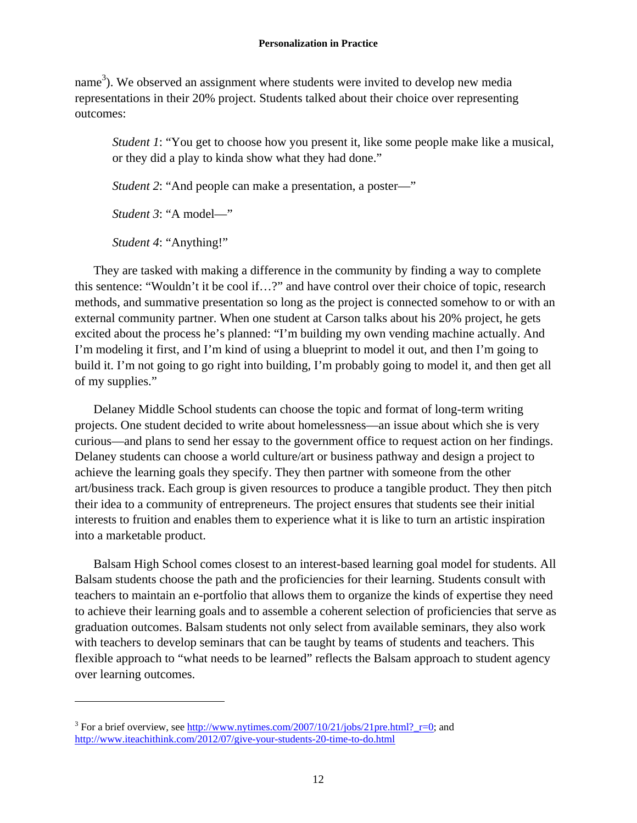name<sup>3</sup>). We observed an assignment where students were invited to develop new media representations in their 20% project. Students talked about their choice over representing outcomes:

*Student 1*: "You get to choose how you present it, like some people make like a musical, or they did a play to kinda show what they had done."

*Student 2*: "And people can make a presentation, a poster—"

*Student 3*: "A model—"

*Student 4*: "Anything!"

 $\overline{a}$ 

They are tasked with making a difference in the community by finding a way to complete this sentence: "Wouldn't it be cool if…?" and have control over their choice of topic, research methods, and summative presentation so long as the project is connected somehow to or with an external community partner. When one student at Carson talks about his 20% project, he gets excited about the process he's planned: "I'm building my own vending machine actually. And I'm modeling it first, and I'm kind of using a blueprint to model it out, and then I'm going to build it. I'm not going to go right into building, I'm probably going to model it, and then get all of my supplies."

Delaney Middle School students can choose the topic and format of long-term writing projects. One student decided to write about homelessness—an issue about which she is very curious—and plans to send her essay to the government office to request action on her findings. Delaney students can choose a world culture/art or business pathway and design a project to achieve the learning goals they specify. They then partner with someone from the other art/business track. Each group is given resources to produce a tangible product. They then pitch their idea to a community of entrepreneurs. The project ensures that students see their initial interests to fruition and enables them to experience what it is like to turn an artistic inspiration into a marketable product.

Balsam High School comes closest to an interest-based learning goal model for students. All Balsam students choose the path and the proficiencies for their learning. Students consult with teachers to maintain an e-portfolio that allows them to organize the kinds of expertise they need to achieve their learning goals and to assemble a coherent selection of proficiencies that serve as graduation outcomes. Balsam students not only select from available seminars, they also work with teachers to develop seminars that can be taught by teams of students and teachers. This flexible approach to "what needs to be learned" reflects the Balsam approach to student agency over learning outcomes.

<sup>&</sup>lt;sup>3</sup> For a brief overview, see  $\frac{http://www.nytimes.com/2007/10/21/jobs/21pre.html?_r=0}$ ; and http://www.iteachithink.com/2012/07/give-your-students-20-time-to-do.html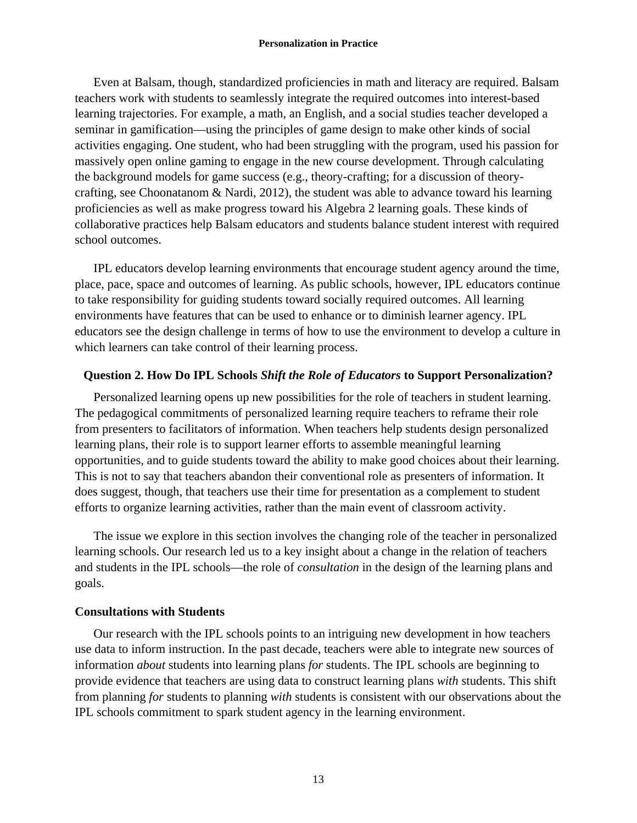Even at Balsam, though, standardized proficiencies in math and literacy are required. Balsam teachers work with students to seamlessly integrate the required outcomes into interest-based learning trajectories. For example, a math, an English, and a social studies teacher developed a seminar in gamification—using the principles of game design to make other kinds of social activities engaging. One student, who had been struggling with the program, used his passion for massively open online gaming to engage in the new course development. Through calculating the background models for game success (e.g., theory-crafting; for a discussion of theorycrafting, see Choonatanom & Nardi, 2012), the student was able to advance toward his learning proficiencies as well as make progress toward his Algebra 2 learning goals. These kinds of collaborative practices help Balsam educators and students balance student interest with required school outcomes.

IPL educators develop learning environments that encourage student agency around the time, place, pace, space and outcomes of learning. As public schools, however, IPL educators continue to take responsibility for guiding students toward socially required outcomes. All learning environments have features that can be used to enhance or to diminish learner agency. IPL educators see the design challenge in terms of how to use the environment to develop a culture in which learners can take control of their learning process.

## **Question 2. How Do IPL Schools** *Shift the Role of Educators* **to Support Personalization?**

Personalized learning opens up new possibilities for the role of teachers in student learning. The pedagogical commitments of personalized learning require teachers to reframe their role from presenters to facilitators of information. When teachers help students design personalized learning plans, their role is to support learner efforts to assemble meaningful learning opportunities, and to guide students toward the ability to make good choices about their learning. This is not to say that teachers abandon their conventional role as presenters of information. It does suggest, though, that teachers use their time for presentation as a complement to student efforts to organize learning activities, rather than the main event of classroom activity.

The issue we explore in this section involves the changing role of the teacher in personalized learning schools. Our research led us to a key insight about a change in the relation of teachers and students in the IPL schools—the role of *consultation* in the design of the learning plans and goals.

## **Consultations with Students**

Our research with the IPL schools points to an intriguing new development in how teachers use data to inform instruction. In the past decade, teachers were able to integrate new sources of information *about* students into learning plans *for* students. The IPL schools are beginning to provide evidence that teachers are using data to construct learning plans *with* students. This shift from planning *for* students to planning *with* students is consistent with our observations about the IPL schools commitment to spark student agency in the learning environment.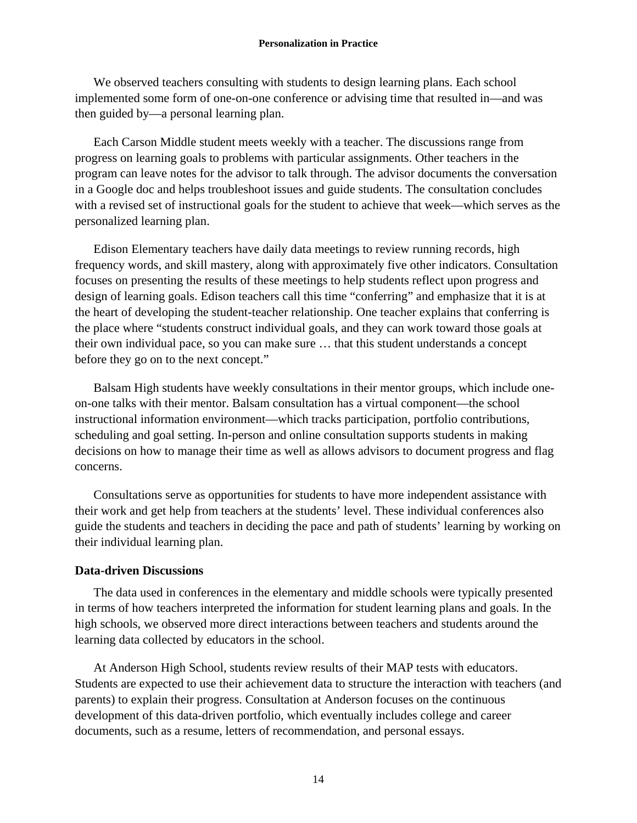We observed teachers consulting with students to design learning plans. Each school implemented some form of one-on-one conference or advising time that resulted in—and was then guided by—a personal learning plan.

Each Carson Middle student meets weekly with a teacher. The discussions range from progress on learning goals to problems with particular assignments. Other teachers in the program can leave notes for the advisor to talk through. The advisor documents the conversation in a Google doc and helps troubleshoot issues and guide students. The consultation concludes with a revised set of instructional goals for the student to achieve that week—which serves as the personalized learning plan.

Edison Elementary teachers have daily data meetings to review running records, high frequency words, and skill mastery, along with approximately five other indicators. Consultation focuses on presenting the results of these meetings to help students reflect upon progress and design of learning goals. Edison teachers call this time "conferring" and emphasize that it is at the heart of developing the student-teacher relationship. One teacher explains that conferring is the place where "students construct individual goals, and they can work toward those goals at their own individual pace, so you can make sure … that this student understands a concept before they go on to the next concept."

Balsam High students have weekly consultations in their mentor groups, which include oneon-one talks with their mentor. Balsam consultation has a virtual component—the school instructional information environment—which tracks participation, portfolio contributions, scheduling and goal setting. In-person and online consultation supports students in making decisions on how to manage their time as well as allows advisors to document progress and flag concerns.

Consultations serve as opportunities for students to have more independent assistance with their work and get help from teachers at the students' level. These individual conferences also guide the students and teachers in deciding the pace and path of students' learning by working on their individual learning plan.

## **Data-driven Discussions**

The data used in conferences in the elementary and middle schools were typically presented in terms of how teachers interpreted the information for student learning plans and goals. In the high schools, we observed more direct interactions between teachers and students around the learning data collected by educators in the school.

At Anderson High School, students review results of their MAP tests with educators. Students are expected to use their achievement data to structure the interaction with teachers (and parents) to explain their progress. Consultation at Anderson focuses on the continuous development of this data-driven portfolio, which eventually includes college and career documents, such as a resume, letters of recommendation, and personal essays.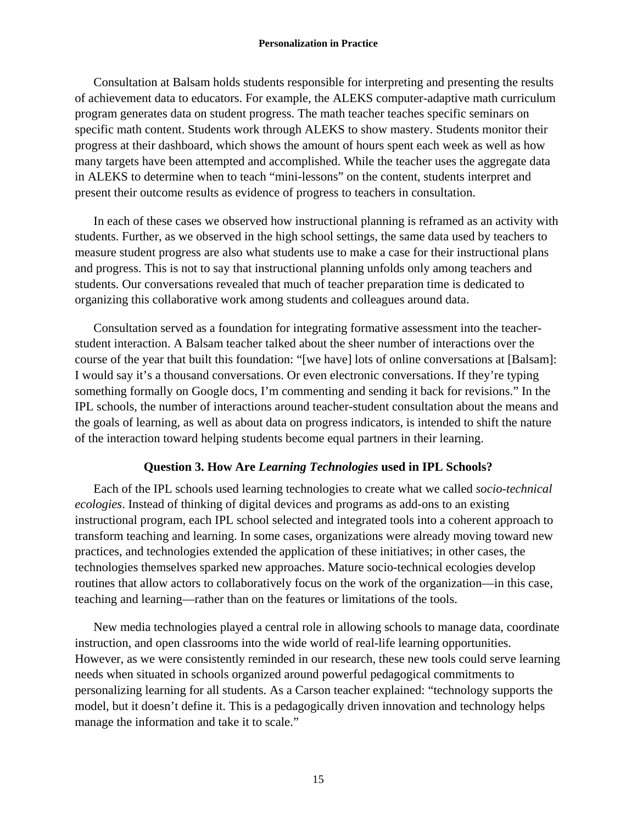Consultation at Balsam holds students responsible for interpreting and presenting the results of achievement data to educators. For example, the ALEKS computer-adaptive math curriculum program generates data on student progress. The math teacher teaches specific seminars on specific math content. Students work through ALEKS to show mastery. Students monitor their progress at their dashboard, which shows the amount of hours spent each week as well as how many targets have been attempted and accomplished. While the teacher uses the aggregate data in ALEKS to determine when to teach "mini-lessons" on the content, students interpret and present their outcome results as evidence of progress to teachers in consultation.

In each of these cases we observed how instructional planning is reframed as an activity with students. Further, as we observed in the high school settings, the same data used by teachers to measure student progress are also what students use to make a case for their instructional plans and progress. This is not to say that instructional planning unfolds only among teachers and students. Our conversations revealed that much of teacher preparation time is dedicated to organizing this collaborative work among students and colleagues around data.

Consultation served as a foundation for integrating formative assessment into the teacherstudent interaction. A Balsam teacher talked about the sheer number of interactions over the course of the year that built this foundation: "[we have] lots of online conversations at [Balsam]: I would say it's a thousand conversations. Or even electronic conversations. If they're typing something formally on Google docs, I'm commenting and sending it back for revisions." In the IPL schools, the number of interactions around teacher-student consultation about the means and the goals of learning, as well as about data on progress indicators, is intended to shift the nature of the interaction toward helping students become equal partners in their learning.

# **Question 3. How Are** *Learning Technologies* **used in IPL Schools?**

Each of the IPL schools used learning technologies to create what we called *socio-technical ecologies*. Instead of thinking of digital devices and programs as add-ons to an existing instructional program, each IPL school selected and integrated tools into a coherent approach to transform teaching and learning. In some cases, organizations were already moving toward new practices, and technologies extended the application of these initiatives; in other cases, the technologies themselves sparked new approaches. Mature socio-technical ecologies develop routines that allow actors to collaboratively focus on the work of the organization—in this case, teaching and learning—rather than on the features or limitations of the tools.

New media technologies played a central role in allowing schools to manage data, coordinate instruction, and open classrooms into the wide world of real-life learning opportunities. However, as we were consistently reminded in our research, these new tools could serve learning needs when situated in schools organized around powerful pedagogical commitments to personalizing learning for all students. As a Carson teacher explained: "technology supports the model, but it doesn't define it. This is a pedagogically driven innovation and technology helps manage the information and take it to scale."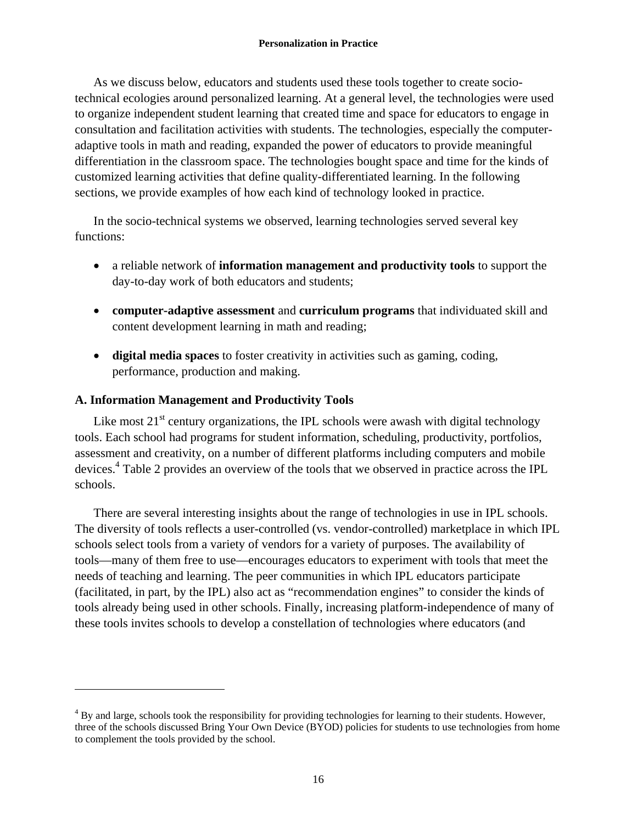As we discuss below, educators and students used these tools together to create sociotechnical ecologies around personalized learning. At a general level, the technologies were used to organize independent student learning that created time and space for educators to engage in consultation and facilitation activities with students. The technologies, especially the computeradaptive tools in math and reading, expanded the power of educators to provide meaningful differentiation in the classroom space. The technologies bought space and time for the kinds of customized learning activities that define quality-differentiated learning. In the following sections, we provide examples of how each kind of technology looked in practice.

In the socio-technical systems we observed, learning technologies served several key functions:

- a reliable network of **information management and productivity tools** to support the day-to-day work of both educators and students;
- **computer-adaptive assessment** and **curriculum programs** that individuated skill and content development learning in math and reading;
- **digital media spaces** to foster creativity in activities such as gaming, coding, performance, production and making.

# **A. Information Management and Productivity Tools**

 $\overline{a}$ 

Like most  $21<sup>st</sup>$  century organizations, the IPL schools were awash with digital technology tools. Each school had programs for student information, scheduling, productivity, portfolios, assessment and creativity, on a number of different platforms including computers and mobile devices.<sup>4</sup> Table 2 provides an overview of the tools that we observed in practice across the IPL schools.

There are several interesting insights about the range of technologies in use in IPL schools. The diversity of tools reflects a user-controlled (vs. vendor-controlled) marketplace in which IPL schools select tools from a variety of vendors for a variety of purposes. The availability of tools—many of them free to use—encourages educators to experiment with tools that meet the needs of teaching and learning. The peer communities in which IPL educators participate (facilitated, in part, by the IPL) also act as "recommendation engines" to consider the kinds of tools already being used in other schools. Finally, increasing platform-independence of many of these tools invites schools to develop a constellation of technologies where educators (and

<sup>&</sup>lt;sup>4</sup> By and large, schools took the responsibility for providing technologies for learning to their students. However, three of the schools discussed Bring Your Own Device (BYOD) policies for students to use technologies from home to complement the tools provided by the school.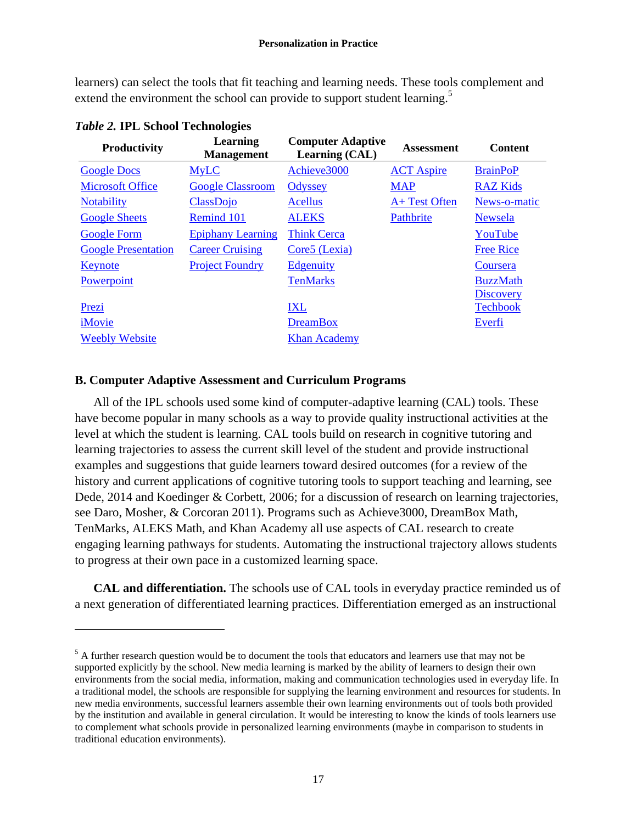learners) can select the tools that fit teaching and learning needs. These tools complement and extend the environment the school can provide to support student learning.<sup>5</sup>

| <b>Productivity</b>        | Learning<br><b>Management</b> | <b>Computer Adaptive</b><br>Learning (CAL) | <b>Assessment</b> | <b>Content</b>   |
|----------------------------|-------------------------------|--------------------------------------------|-------------------|------------------|
| <b>Google Docs</b>         | <b>MyLC</b>                   | Achieve3000                                | <b>ACT Aspire</b> | <b>BrainPoP</b>  |
| <b>Microsoft Office</b>    | <b>Google Classroom</b>       | Odyssey                                    | <b>MAP</b>        | <b>RAZ Kids</b>  |
| <b>Notability</b>          | <b>ClassDojo</b>              | <b>Acellus</b>                             | A+ Test Often     | News-o-matic     |
| <b>Google Sheets</b>       | Remind 101                    | <b>ALEKS</b>                               | Pathbrite         | Newsela          |
| <b>Google Form</b>         | <b>Epiphany Learning</b>      | <b>Think Cerca</b>                         |                   | YouTube          |
| <b>Google Presentation</b> | <b>Career Cruising</b>        | Core5 (Lexia)                              |                   | <b>Free Rice</b> |
| Keynote                    | <b>Project Foundry</b>        | <b>Edgenuity</b>                           |                   | Coursera         |
| Powerpoint                 |                               | <b>TenMarks</b>                            |                   | <b>BuzzMath</b>  |
|                            |                               |                                            |                   | <b>Discovery</b> |
| Prezi                      |                               | <b>IXL</b>                                 |                   | <b>Techbook</b>  |
| iMovie                     |                               | <b>DreamBox</b>                            |                   | Everfi           |
| <b>Weebly Website</b>      |                               | <b>Khan Academy</b>                        |                   |                  |

|  |  |  | Table 2. IPL School Technologies |  |
|--|--|--|----------------------------------|--|
|--|--|--|----------------------------------|--|

 $\overline{a}$ 

# **B. Computer Adaptive Assessment and Curriculum Programs**

All of the IPL schools used some kind of computer-adaptive learning (CAL) tools. These have become popular in many schools as a way to provide quality instructional activities at the level at which the student is learning. CAL tools build on research in cognitive tutoring and learning trajectories to assess the current skill level of the student and provide instructional examples and suggestions that guide learners toward desired outcomes (for a review of the history and current applications of cognitive tutoring tools to support teaching and learning, see Dede, 2014 and Koedinger & Corbett, 2006; for a discussion of research on learning trajectories, see Daro, Mosher, & Corcoran 2011). Programs such as Achieve3000, DreamBox Math, TenMarks, ALEKS Math, and Khan Academy all use aspects of CAL research to create engaging learning pathways for students. Automating the instructional trajectory allows students to progress at their own pace in a customized learning space.

**CAL and differentiation.** The schools use of CAL tools in everyday practice reminded us of a next generation of differentiated learning practices. Differentiation emerged as an instructional

<sup>&</sup>lt;sup>5</sup> A further research question would be to document the tools that educators and learners use that may not be supported explicitly by the school. New media learning is marked by the ability of learners to design their own environments from the social media, information, making and communication technologies used in everyday life. In a traditional model, the schools are responsible for supplying the learning environment and resources for students. In new media environments, successful learners assemble their own learning environments out of tools both provided by the institution and available in general circulation. It would be interesting to know the kinds of tools learners use to complement what schools provide in personalized learning environments (maybe in comparison to students in traditional education environments).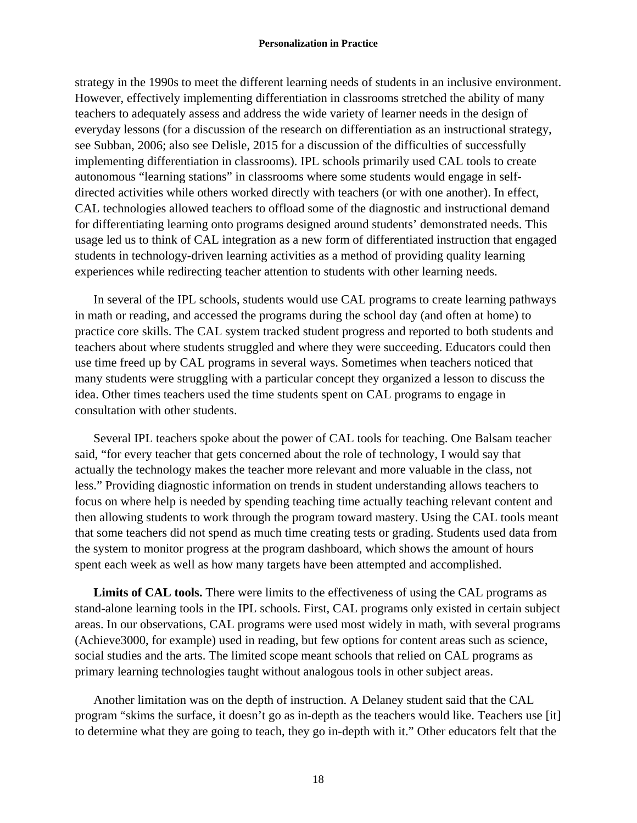strategy in the 1990s to meet the different learning needs of students in an inclusive environment. However, effectively implementing differentiation in classrooms stretched the ability of many teachers to adequately assess and address the wide variety of learner needs in the design of everyday lessons (for a discussion of the research on differentiation as an instructional strategy, see Subban, 2006; also see Delisle, 2015 for a discussion of the difficulties of successfully implementing differentiation in classrooms). IPL schools primarily used CAL tools to create autonomous "learning stations" in classrooms where some students would engage in selfdirected activities while others worked directly with teachers (or with one another). In effect, CAL technologies allowed teachers to offload some of the diagnostic and instructional demand for differentiating learning onto programs designed around students' demonstrated needs. This usage led us to think of CAL integration as a new form of differentiated instruction that engaged students in technology-driven learning activities as a method of providing quality learning experiences while redirecting teacher attention to students with other learning needs.

In several of the IPL schools, students would use CAL programs to create learning pathways in math or reading, and accessed the programs during the school day (and often at home) to practice core skills. The CAL system tracked student progress and reported to both students and teachers about where students struggled and where they were succeeding. Educators could then use time freed up by CAL programs in several ways. Sometimes when teachers noticed that many students were struggling with a particular concept they organized a lesson to discuss the idea. Other times teachers used the time students spent on CAL programs to engage in consultation with other students.

Several IPL teachers spoke about the power of CAL tools for teaching. One Balsam teacher said, "for every teacher that gets concerned about the role of technology, I would say that actually the technology makes the teacher more relevant and more valuable in the class, not less." Providing diagnostic information on trends in student understanding allows teachers to focus on where help is needed by spending teaching time actually teaching relevant content and then allowing students to work through the program toward mastery. Using the CAL tools meant that some teachers did not spend as much time creating tests or grading. Students used data from the system to monitor progress at the program dashboard, which shows the amount of hours spent each week as well as how many targets have been attempted and accomplished.

**Limits of CAL tools.** There were limits to the effectiveness of using the CAL programs as stand-alone learning tools in the IPL schools. First, CAL programs only existed in certain subject areas. In our observations, CAL programs were used most widely in math, with several programs (Achieve3000, for example) used in reading, but few options for content areas such as science, social studies and the arts. The limited scope meant schools that relied on CAL programs as primary learning technologies taught without analogous tools in other subject areas.

Another limitation was on the depth of instruction. A Delaney student said that the CAL program "skims the surface, it doesn't go as in-depth as the teachers would like. Teachers use [it] to determine what they are going to teach, they go in-depth with it." Other educators felt that the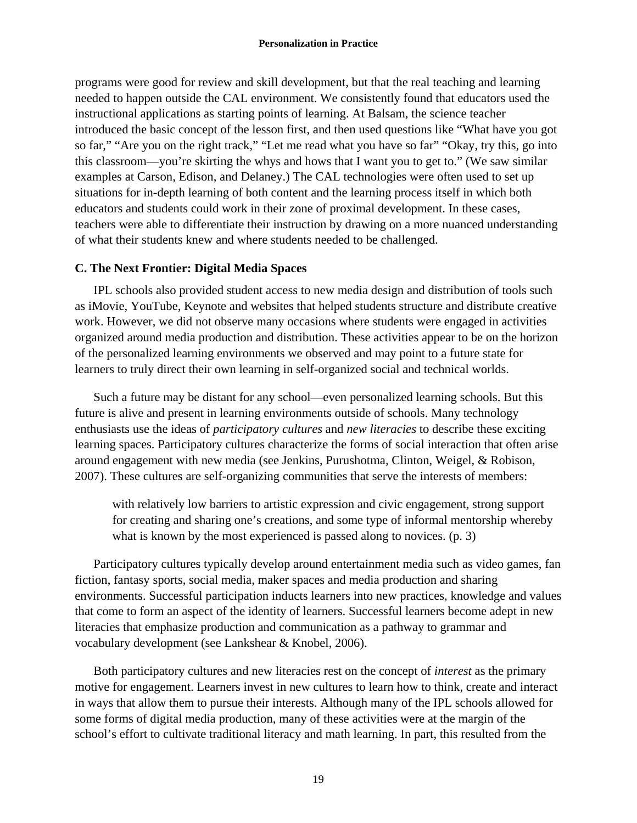programs were good for review and skill development, but that the real teaching and learning needed to happen outside the CAL environment. We consistently found that educators used the instructional applications as starting points of learning. At Balsam, the science teacher introduced the basic concept of the lesson first, and then used questions like "What have you got so far," "Are you on the right track," "Let me read what you have so far" "Okay, try this, go into this classroom—you're skirting the whys and hows that I want you to get to." (We saw similar examples at Carson, Edison, and Delaney.) The CAL technologies were often used to set up situations for in-depth learning of both content and the learning process itself in which both educators and students could work in their zone of proximal development. In these cases, teachers were able to differentiate their instruction by drawing on a more nuanced understanding of what their students knew and where students needed to be challenged.

# **C. The Next Frontier: Digital Media Spaces**

IPL schools also provided student access to new media design and distribution of tools such as iMovie, YouTube, Keynote and websites that helped students structure and distribute creative work. However, we did not observe many occasions where students were engaged in activities organized around media production and distribution. These activities appear to be on the horizon of the personalized learning environments we observed and may point to a future state for learners to truly direct their own learning in self-organized social and technical worlds.

Such a future may be distant for any school—even personalized learning schools. But this future is alive and present in learning environments outside of schools. Many technology enthusiasts use the ideas of *participatory cultures* and *new literacies* to describe these exciting learning spaces. Participatory cultures characterize the forms of social interaction that often arise around engagement with new media (see Jenkins, Purushotma, Clinton, Weigel, & Robison, 2007). These cultures are self-organizing communities that serve the interests of members:

with relatively low barriers to artistic expression and civic engagement, strong support for creating and sharing one's creations, and some type of informal mentorship whereby what is known by the most experienced is passed along to novices. (p. 3)

Participatory cultures typically develop around entertainment media such as video games, fan fiction, fantasy sports, social media, maker spaces and media production and sharing environments. Successful participation inducts learners into new practices, knowledge and values that come to form an aspect of the identity of learners. Successful learners become adept in new literacies that emphasize production and communication as a pathway to grammar and vocabulary development (see Lankshear & Knobel, 2006).

Both participatory cultures and new literacies rest on the concept of *interest* as the primary motive for engagement. Learners invest in new cultures to learn how to think, create and interact in ways that allow them to pursue their interests. Although many of the IPL schools allowed for some forms of digital media production, many of these activities were at the margin of the school's effort to cultivate traditional literacy and math learning. In part, this resulted from the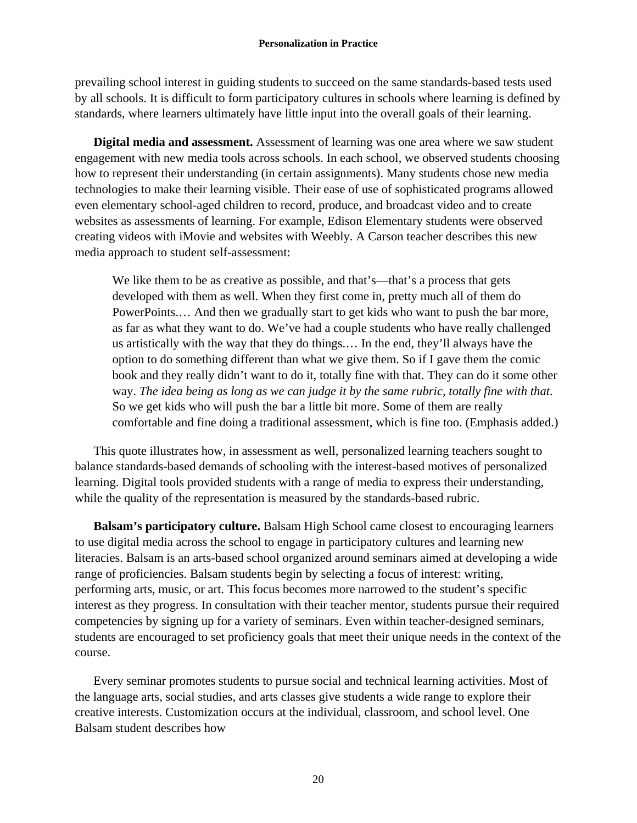prevailing school interest in guiding students to succeed on the same standards-based tests used by all schools. It is difficult to form participatory cultures in schools where learning is defined by standards, where learners ultimately have little input into the overall goals of their learning.

**Digital media and assessment.** Assessment of learning was one area where we saw student engagement with new media tools across schools. In each school, we observed students choosing how to represent their understanding (in certain assignments). Many students chose new media technologies to make their learning visible. Their ease of use of sophisticated programs allowed even elementary school-aged children to record, produce, and broadcast video and to create websites as assessments of learning. For example, Edison Elementary students were observed creating videos with iMovie and websites with Weebly. A Carson teacher describes this new media approach to student self-assessment:

We like them to be as creative as possible, and that's—that's a process that gets developed with them as well. When they first come in, pretty much all of them do PowerPoints.… And then we gradually start to get kids who want to push the bar more, as far as what they want to do. We've had a couple students who have really challenged us artistically with the way that they do things.… In the end, they'll always have the option to do something different than what we give them. So if I gave them the comic book and they really didn't want to do it, totally fine with that. They can do it some other way. *The idea being as long as we can judge it by the same rubric, totally fine with that*. So we get kids who will push the bar a little bit more. Some of them are really comfortable and fine doing a traditional assessment, which is fine too. (Emphasis added.)

This quote illustrates how, in assessment as well, personalized learning teachers sought to balance standards-based demands of schooling with the interest-based motives of personalized learning. Digital tools provided students with a range of media to express their understanding, while the quality of the representation is measured by the standards-based rubric.

**Balsam's participatory culture.** Balsam High School came closest to encouraging learners to use digital media across the school to engage in participatory cultures and learning new literacies. Balsam is an arts-based school organized around seminars aimed at developing a wide range of proficiencies. Balsam students begin by selecting a focus of interest: writing, performing arts, music, or art. This focus becomes more narrowed to the student's specific interest as they progress. In consultation with their teacher mentor, students pursue their required competencies by signing up for a variety of seminars. Even within teacher-designed seminars, students are encouraged to set proficiency goals that meet their unique needs in the context of the course.

Every seminar promotes students to pursue social and technical learning activities. Most of the language arts, social studies, and arts classes give students a wide range to explore their creative interests. Customization occurs at the individual, classroom, and school level. One Balsam student describes how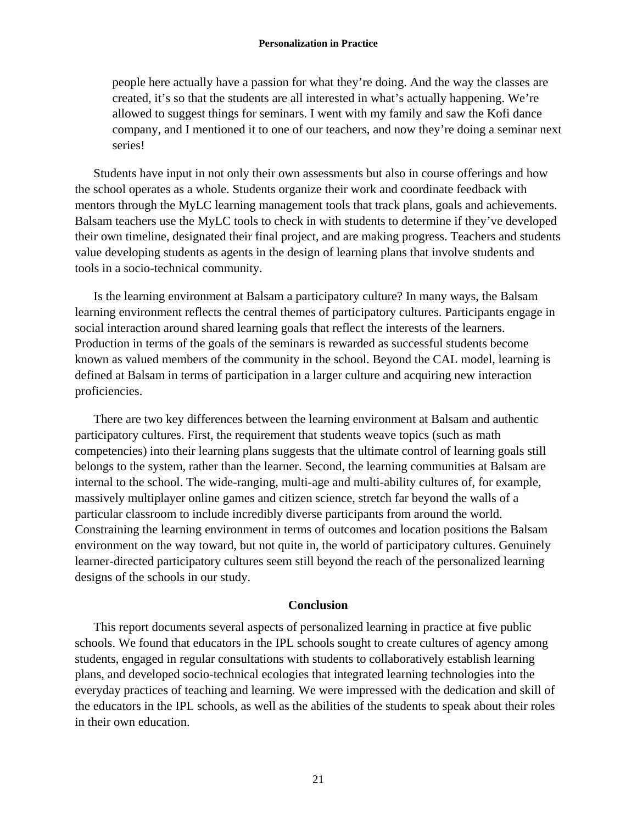people here actually have a passion for what they're doing. And the way the classes are created, it's so that the students are all interested in what's actually happening. We're allowed to suggest things for seminars. I went with my family and saw the Kofi dance company, and I mentioned it to one of our teachers, and now they're doing a seminar next series!

Students have input in not only their own assessments but also in course offerings and how the school operates as a whole. Students organize their work and coordinate feedback with mentors through the MyLC learning management tools that track plans, goals and achievements. Balsam teachers use the MyLC tools to check in with students to determine if they've developed their own timeline, designated their final project, and are making progress. Teachers and students value developing students as agents in the design of learning plans that involve students and tools in a socio-technical community.

Is the learning environment at Balsam a participatory culture? In many ways, the Balsam learning environment reflects the central themes of participatory cultures. Participants engage in social interaction around shared learning goals that reflect the interests of the learners. Production in terms of the goals of the seminars is rewarded as successful students become known as valued members of the community in the school. Beyond the CAL model, learning is defined at Balsam in terms of participation in a larger culture and acquiring new interaction proficiencies.

There are two key differences between the learning environment at Balsam and authentic participatory cultures. First, the requirement that students weave topics (such as math competencies) into their learning plans suggests that the ultimate control of learning goals still belongs to the system, rather than the learner. Second, the learning communities at Balsam are internal to the school. The wide-ranging, multi-age and multi-ability cultures of, for example, massively multiplayer online games and citizen science, stretch far beyond the walls of a particular classroom to include incredibly diverse participants from around the world. Constraining the learning environment in terms of outcomes and location positions the Balsam environment on the way toward, but not quite in, the world of participatory cultures. Genuinely learner-directed participatory cultures seem still beyond the reach of the personalized learning designs of the schools in our study.

#### **Conclusion**

This report documents several aspects of personalized learning in practice at five public schools. We found that educators in the IPL schools sought to create cultures of agency among students, engaged in regular consultations with students to collaboratively establish learning plans, and developed socio-technical ecologies that integrated learning technologies into the everyday practices of teaching and learning. We were impressed with the dedication and skill of the educators in the IPL schools, as well as the abilities of the students to speak about their roles in their own education.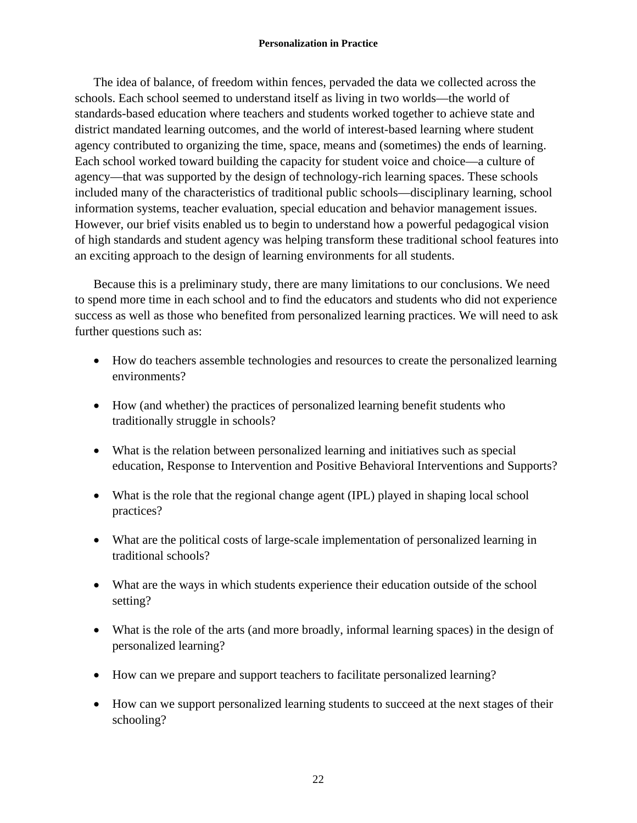The idea of balance, of freedom within fences, pervaded the data we collected across the schools. Each school seemed to understand itself as living in two worlds—the world of standards-based education where teachers and students worked together to achieve state and district mandated learning outcomes, and the world of interest-based learning where student agency contributed to organizing the time, space, means and (sometimes) the ends of learning. Each school worked toward building the capacity for student voice and choice—a culture of agency—that was supported by the design of technology-rich learning spaces. These schools included many of the characteristics of traditional public schools—disciplinary learning, school information systems, teacher evaluation, special education and behavior management issues. However, our brief visits enabled us to begin to understand how a powerful pedagogical vision of high standards and student agency was helping transform these traditional school features into an exciting approach to the design of learning environments for all students.

Because this is a preliminary study, there are many limitations to our conclusions. We need to spend more time in each school and to find the educators and students who did not experience success as well as those who benefited from personalized learning practices. We will need to ask further questions such as:

- How do teachers assemble technologies and resources to create the personalized learning environments?
- How (and whether) the practices of personalized learning benefit students who traditionally struggle in schools?
- What is the relation between personalized learning and initiatives such as special education, Response to Intervention and Positive Behavioral Interventions and Supports?
- What is the role that the regional change agent (IPL) played in shaping local school practices?
- What are the political costs of large-scale implementation of personalized learning in traditional schools?
- What are the ways in which students experience their education outside of the school setting?
- What is the role of the arts (and more broadly, informal learning spaces) in the design of personalized learning?
- How can we prepare and support teachers to facilitate personalized learning?
- How can we support personalized learning students to succeed at the next stages of their schooling?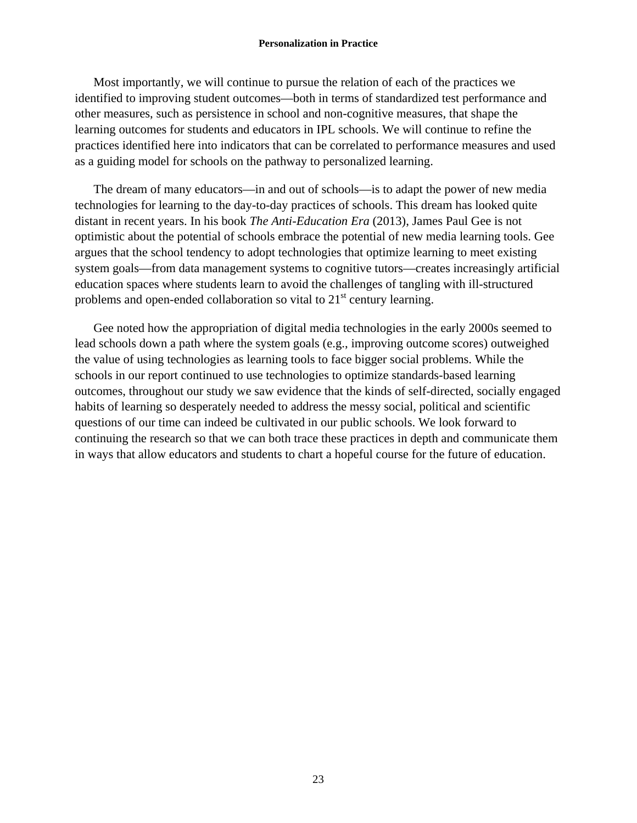Most importantly, we will continue to pursue the relation of each of the practices we identified to improving student outcomes—both in terms of standardized test performance and other measures, such as persistence in school and non-cognitive measures, that shape the learning outcomes for students and educators in IPL schools. We will continue to refine the practices identified here into indicators that can be correlated to performance measures and used as a guiding model for schools on the pathway to personalized learning.

The dream of many educators—in and out of schools—is to adapt the power of new media technologies for learning to the day-to-day practices of schools. This dream has looked quite distant in recent years. In his book *The Anti-Education Era* (2013), James Paul Gee is not optimistic about the potential of schools embrace the potential of new media learning tools. Gee argues that the school tendency to adopt technologies that optimize learning to meet existing system goals—from data management systems to cognitive tutors—creates increasingly artificial education spaces where students learn to avoid the challenges of tangling with ill-structured problems and open-ended collaboration so vital to  $21<sup>st</sup>$  century learning.

Gee noted how the appropriation of digital media technologies in the early 2000s seemed to lead schools down a path where the system goals (e.g., improving outcome scores) outweighed the value of using technologies as learning tools to face bigger social problems. While the schools in our report continued to use technologies to optimize standards-based learning outcomes, throughout our study we saw evidence that the kinds of self-directed, socially engaged habits of learning so desperately needed to address the messy social, political and scientific questions of our time can indeed be cultivated in our public schools. We look forward to continuing the research so that we can both trace these practices in depth and communicate them in ways that allow educators and students to chart a hopeful course for the future of education.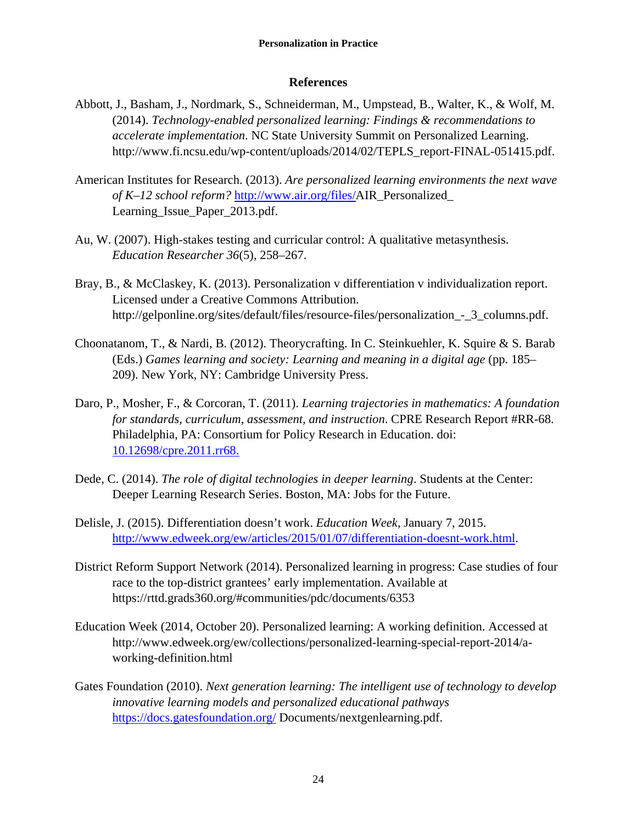# **References**

- Abbott, J., Basham, J., Nordmark, S., Schneiderman, M., Umpstead, B., Walter, K., & Wolf, M. (2014). *Technology-enabled personalized learning: Findings & recommendations to accelerate implementation*. NC State University Summit on Personalized Learning. http://www.fi.ncsu.edu/wp-content/uploads/2014/02/TEPLS\_report-FINAL-051415.pdf.
- American Institutes for Research. (2013). *Are personalized learning environments the next wave of K–12 school reform?* http://www.air.org/files/AIR\_Personalized\_ Learning\_Issue\_Paper\_2013.pdf.
- Au, W. (2007). High-stakes testing and curricular control: A qualitative metasynthesis. *Education Researcher 36*(5), 258–267.
- Bray, B., & McClaskey, K. (2013). Personalization v differentiation v individualization report. Licensed under a Creative Commons Attribution. http://gelponline.org/sites/default/files/resource-files/personalization\_-\_3\_columns.pdf.
- Choonatanom, T., & Nardi, B. (2012). Theorycrafting. In C. Steinkuehler, K. Squire & S. Barab (Eds.) *Games learning and society: Learning and meaning in a digital age* (pp. 185– 209). New York, NY: Cambridge University Press.
- Daro, P., Mosher, F., & Corcoran, T. (2011). *Learning trajectories in mathematics: A foundation for standards, curriculum, assessment, and instruction*. CPRE Research Report #RR-68. Philadelphia, PA: Consortium for Policy Research in Education. doi: 10.12698/cpre.2011.rr68.
- Dede, C. (2014). *The role of digital technologies in deeper learning*. Students at the Center: Deeper Learning Research Series. Boston, MA: Jobs for the Future.
- Delisle, J. (2015). Differentiation doesn't work. *Education Week*, January 7, 2015. http://www.edweek.org/ew/articles/2015/01/07/differentiation-doesnt-work.html.
- District Reform Support Network (2014). Personalized learning in progress: Case studies of four race to the top-district grantees' early implementation. Available at https://rttd.grads360.org/#communities/pdc/documents/6353
- Education Week (2014, October 20). Personalized learning: A working definition. Accessed at http://www.edweek.org/ew/collections/personalized-learning-special-report-2014/aworking-definition.html
- Gates Foundation (2010). *Next generation learning: The intelligent use of technology to develop innovative learning models and personalized educational pathways*  https://docs.gatesfoundation.org/ Documents/nextgenlearning.pdf.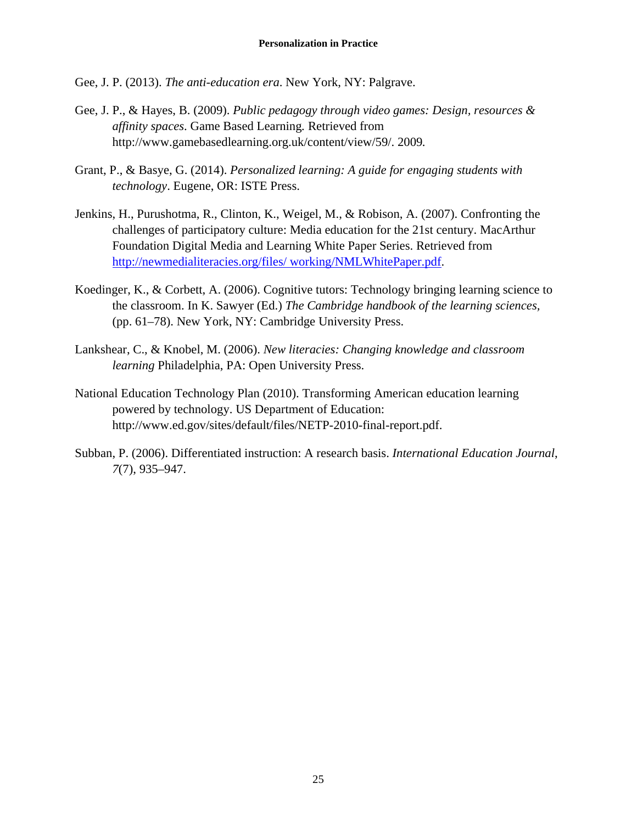- Gee, J. P. (2013). *The anti-education era*. New York, NY: Palgrave.
- Gee, J. P., & Hayes, B. (2009). *Public pedagogy through video games: Design, resources & affinity spaces*. Game Based Learning*.* Retrieved from http://www.gamebasedlearning.org.uk/content/view/59/. 2009*.*
- Grant, P., & Basye, G. (2014). *Personalized learning: A guide for engaging students with technology*. Eugene, OR: ISTE Press.
- Jenkins, H., Purushotma, R., Clinton, K., Weigel, M., & Robison, A. (2007). Confronting the challenges of participatory culture: Media education for the 21st century. MacArthur Foundation Digital Media and Learning White Paper Series. Retrieved from http://newmedialiteracies.org/files/ working/NMLWhitePaper.pdf.
- Koedinger, K., & Corbett, A. (2006). Cognitive tutors: Technology bringing learning science to the classroom. In K. Sawyer (Ed.) *The Cambridge handbook of the learning sciences,* (pp. 61–78). New York, NY: Cambridge University Press.
- Lankshear, C., & Knobel, M. (2006). *New literacies: Changing knowledge and classroom learning* Philadelphia, PA: Open University Press.
- National Education Technology Plan (2010). Transforming American education learning powered by technology. US Department of Education: http://www.ed.gov/sites/default/files/NETP-2010-final-report.pdf.
- Subban, P. (2006). Differentiated instruction: A research basis. *International Education Journal*, *7*(7), 935–947.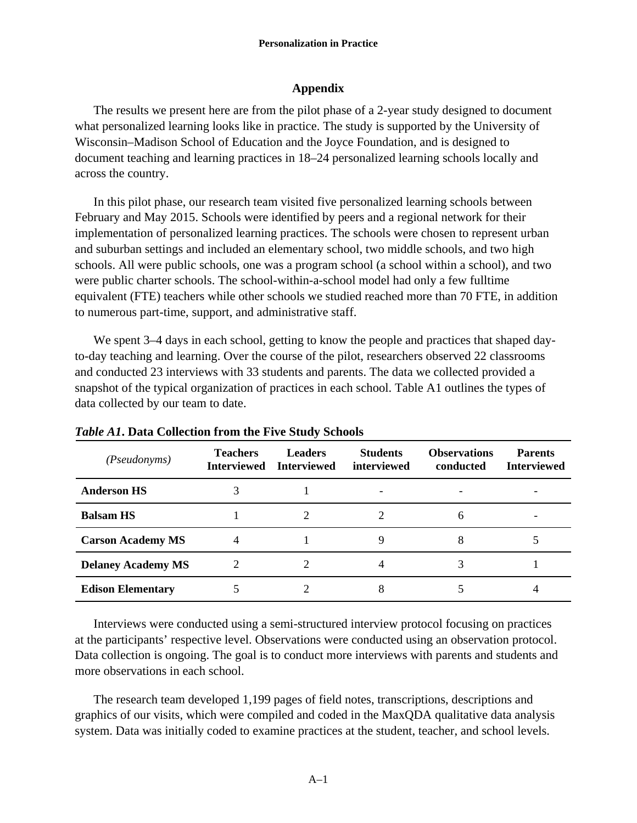# **Appendix**

The results we present here are from the pilot phase of a 2-year study designed to document what personalized learning looks like in practice. The study is supported by the University of Wisconsin–Madison School of Education and the Joyce Foundation, and is designed to document teaching and learning practices in 18–24 personalized learning schools locally and across the country.

In this pilot phase, our research team visited five personalized learning schools between February and May 2015. Schools were identified by peers and a regional network for their implementation of personalized learning practices. The schools were chosen to represent urban and suburban settings and included an elementary school, two middle schools, and two high schools. All were public schools, one was a program school (a school within a school), and two were public charter schools. The school-within-a-school model had only a few fulltime equivalent (FTE) teachers while other schools we studied reached more than 70 FTE, in addition to numerous part-time, support, and administrative staff.

We spent 3–4 days in each school, getting to know the people and practices that shaped dayto-day teaching and learning. Over the course of the pilot, researchers observed 22 classrooms and conducted 23 interviews with 33 students and parents. The data we collected provided a snapshot of the typical organization of practices in each school. Table A1 outlines the types of data collected by our team to date.

| <i>(Pseudonyms)</i>       | <b>Teachers</b><br><b>Interviewed</b> | <b>Leaders</b><br><b>Interviewed</b> | <b>Students</b><br>interviewed | <b>Observations</b><br>conducted | <b>Parents</b><br><b>Interviewed</b> |
|---------------------------|---------------------------------------|--------------------------------------|--------------------------------|----------------------------------|--------------------------------------|
| <b>Anderson HS</b>        |                                       |                                      |                                |                                  |                                      |
| <b>Balsam HS</b>          |                                       |                                      |                                |                                  |                                      |
| <b>Carson Academy MS</b>  |                                       |                                      |                                |                                  |                                      |
| <b>Delaney Academy MS</b> | $\mathcal{D}_{\mathcal{A}}$           |                                      |                                |                                  |                                      |
| <b>Edison Elementary</b>  |                                       |                                      | Λ                              |                                  |                                      |

*Table A1***. Data Collection from the Five Study Schools** 

Interviews were conducted using a semi-structured interview protocol focusing on practices at the participants' respective level. Observations were conducted using an observation protocol. Data collection is ongoing. The goal is to conduct more interviews with parents and students and more observations in each school.

The research team developed 1,199 pages of field notes, transcriptions, descriptions and graphics of our visits, which were compiled and coded in the MaxQDA qualitative data analysis system. Data was initially coded to examine practices at the student, teacher, and school levels.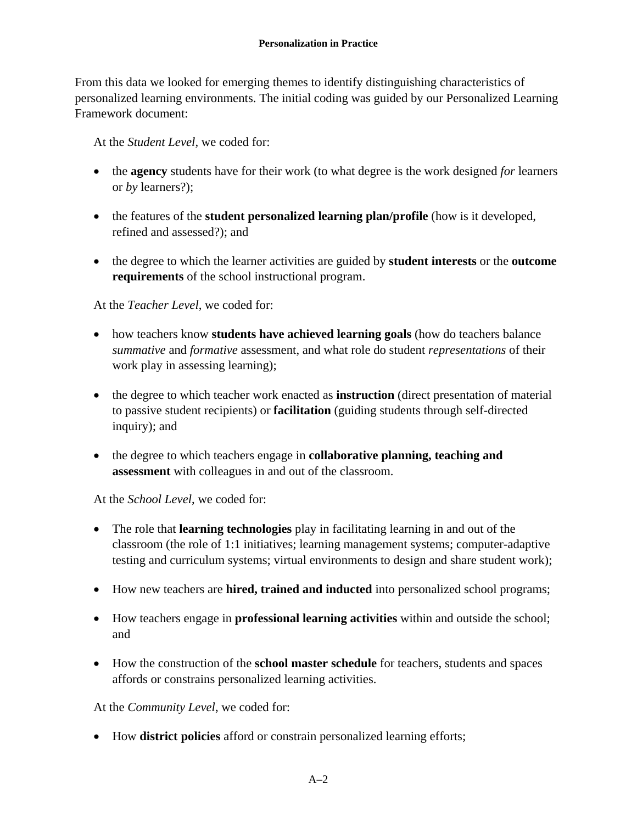From this data we looked for emerging themes to identify distinguishing characteristics of personalized learning environments. The initial coding was guided by our Personalized Learning Framework document:

At the *Student Level,* we coded for:

- the **agency** students have for their work (to what degree is the work designed *for* learners or *by* learners?);
- the features of the **student personalized learning plan/profile** (how is it developed, refined and assessed?); and
- the degree to which the learner activities are guided by **student interests** or the **outcome requirements** of the school instructional program.

# At the *Teacher Level*, we coded for:

- how teachers know **students have achieved learning goals** (how do teachers balance *summative* and *formative* assessment, and what role do student *representations* of their work play in assessing learning);
- the degree to which teacher work enacted as **instruction** (direct presentation of material to passive student recipients) or **facilitation** (guiding students through self-directed inquiry); and
- the degree to which teachers engage in **collaborative planning, teaching and assessment** with colleagues in and out of the classroom.

# At the *School Level*, we coded for:

- The role that **learning technologies** play in facilitating learning in and out of the classroom (the role of 1:1 initiatives; learning management systems; computer-adaptive testing and curriculum systems; virtual environments to design and share student work);
- How new teachers are **hired, trained and inducted** into personalized school programs;
- How teachers engage in **professional learning activities** within and outside the school; and
- How the construction of the **school master schedule** for teachers, students and spaces affords or constrains personalized learning activities.

At the *Community Level*, we coded for:

How **district policies** afford or constrain personalized learning efforts;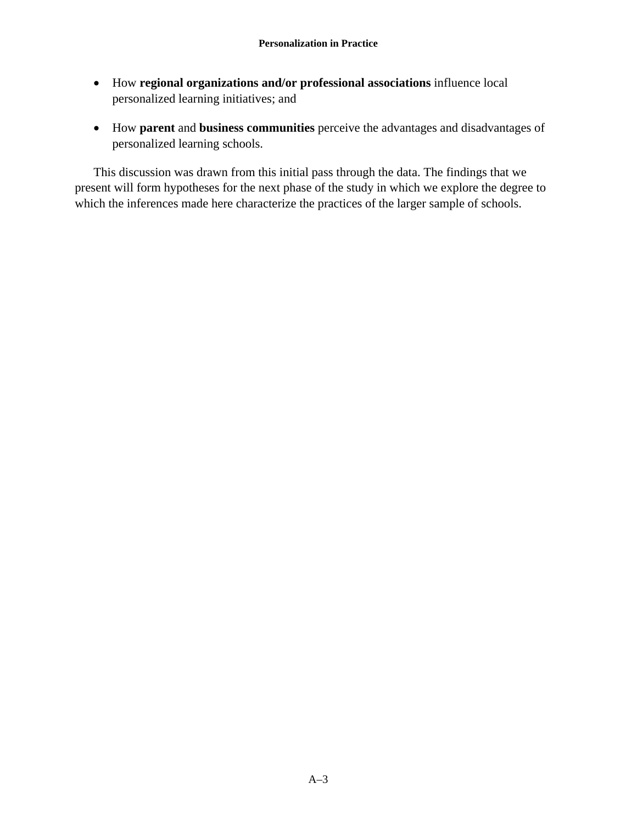- How **regional organizations and/or professional associations** influence local personalized learning initiatives; and
- How **parent** and **business communities** perceive the advantages and disadvantages of personalized learning schools.

This discussion was drawn from this initial pass through the data. The findings that we present will form hypotheses for the next phase of the study in which we explore the degree to which the inferences made here characterize the practices of the larger sample of schools.